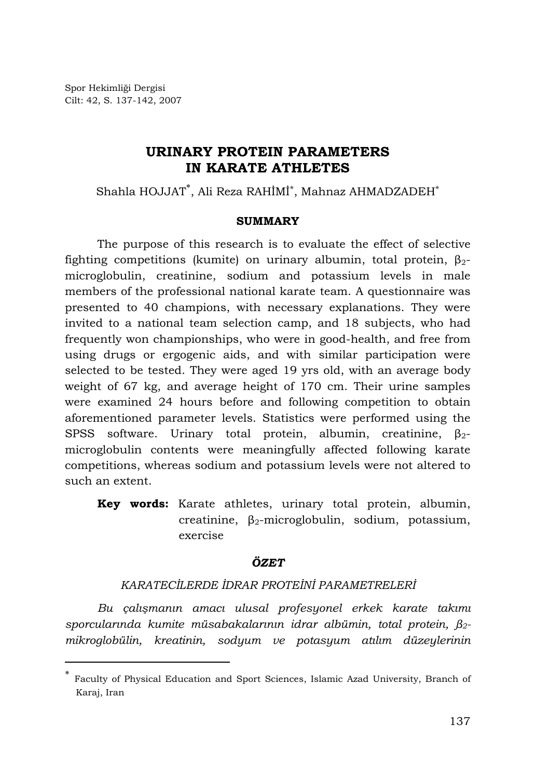Spor Hekimliği Dergisi Cilt: 42, S. 137-142, 2007

l

# **URINARY PROTEIN PARAMETERS IN KARATE ATHLETES**

Shahla HOJJAT<sup>∗</sup> , Ali Reza RAHİMİ\*, Mahnaz AHMADZADEH\*

### **SUMMARY**

The purpose of this research is to evaluate the effect of selective fighting competitions (kumite) on urinary albumin, total protein,  $β<sub>2</sub>$ microglobulin, creatinine, sodium and potassium levels in male members of the professional national karate team. A questionnaire was presented to 40 champions, with necessary explanations. They were invited to a national team selection camp, and 18 subjects, who had frequently won championships, who were in good-health, and free from using drugs or ergogenic aids, and with similar participation were selected to be tested. They were aged 19 yrs old, with an average body weight of 67 kg, and average height of 170 cm. Their urine samples were examined 24 hours before and following competition to obtain aforementioned parameter levels. Statistics were performed using the SPSS software. Urinary total protein, albumin, creatinine,  $\beta_{2}$ microglobulin contents were meaningfully affected following karate competitions, whereas sodium and potassium levels were not altered to such an extent.

**Key words:** Karate athletes, urinary total protein, albumin, creatinine, β2-microglobulin, sodium, potassium, exercise

## *ÖZET*

## *KARATECİLERDE İDRAR PROTEİNİ PARAMETRELERİ*

*Bu çalışmanın amacı ulusal profesyonel erkek karate takımı sporcularında kumite müsabakalarının idrar albümin, total protein, β2 mikroglobülin, kreatinin, sodyum ve potasyum atılım düzeylerinin* 

<sup>∗</sup> Faculty of Physical Education and Sport Sciences, Islamic Azad University, Branch of Karaj, Iran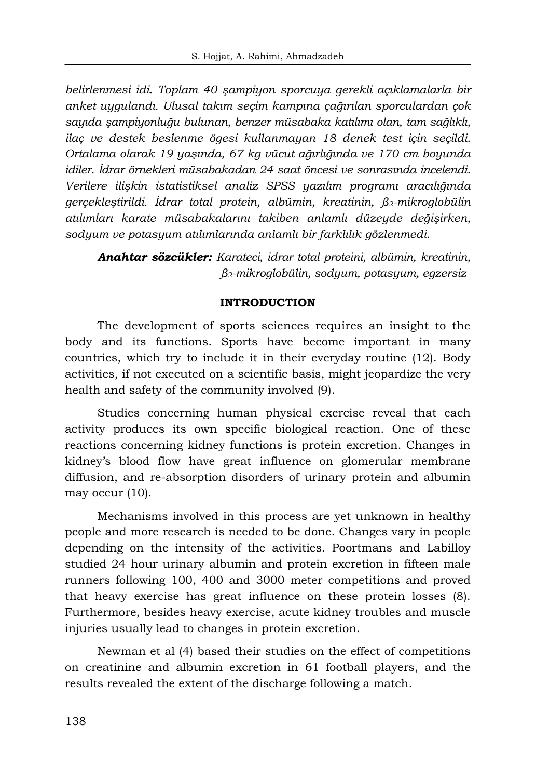*belirlenmesi idi. Toplam 40 şampiyon sporcuya gerekli açıklamalarla bir anket uygulandı. Ulusal takım seçim kampına çağırılan sporculardan çok sayıda şampiyonluğu bulunan, benzer müsabaka katılımı olan, tam sağlıklı, ilaç ve destek beslenme ögesi kullanmayan 18 denek test için seçildi. Ortalama olarak 19 yaşında, 67 kg vücut ağırlığında ve 170 cm boyunda idiler. İdrar örnekleri müsabakadan 24 saat öncesi ve sonrasında incelendi. Verilere ilişkin istatistiksel analiz SPSS yazılım programı aracılığında gerçekleştirildi. İdrar total protein, albümin, kreatinin, β2-mikroglobülin atılımları karate müsabakalarını takiben anlamlı düzeyde değişirken, sodyum ve potasyum atılımlarında anlamlı bir farklılık gözlenmedi.* 

*Anahtar sözcükler: Karateci, idrar total proteini, albümin, kreatinin, β2-mikroglobülin, sodyum, potasyum, egzersiz* 

### **INTRODUCTION**

The development of sports sciences requires an insight to the body and its functions. Sports have become important in many countries, which try to include it in their everyday routine (12). Body activities, if not executed on a scientific basis, might jeopardize the very health and safety of the community involved (9).

Studies concerning human physical exercise reveal that each activity produces its own specific biological reaction. One of these reactions concerning kidney functions is protein excretion. Changes in kidney's blood flow have great influence on glomerular membrane diffusion, and re-absorption disorders of urinary protein and albumin may occur (10).

Mechanisms involved in this process are yet unknown in healthy people and more research is needed to be done. Changes vary in people depending on the intensity of the activities. Poortmans and Labilloy studied 24 hour urinary albumin and protein excretion in fifteen male runners following 100, 400 and 3000 meter competitions and proved that heavy exercise has great influence on these protein losses (8). Furthermore, besides heavy exercise, acute kidney troubles and muscle injuries usually lead to changes in protein excretion.

Newman et al (4) based their studies on the effect of competitions on creatinine and albumin excretion in 61 football players, and the results revealed the extent of the discharge following a match.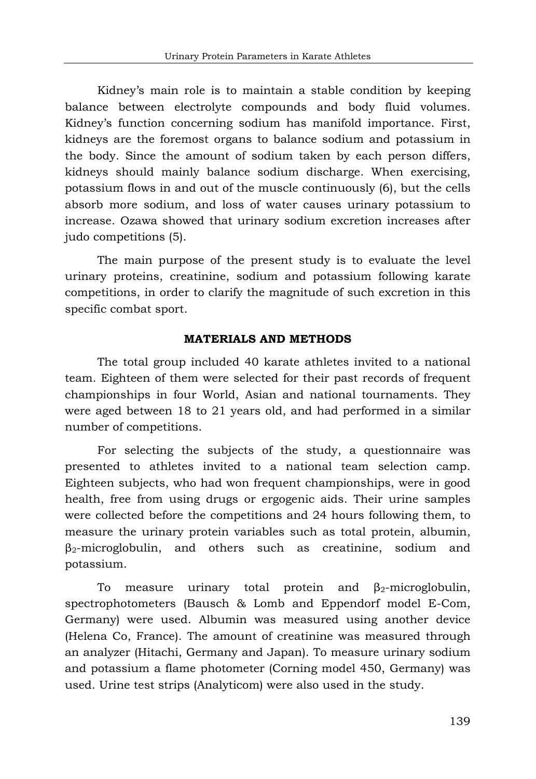Kidney's main role is to maintain a stable condition by keeping balance between electrolyte compounds and body fluid volumes. Kidney's function concerning sodium has manifold importance. First, kidneys are the foremost organs to balance sodium and potassium in the body. Since the amount of sodium taken by each person differs, kidneys should mainly balance sodium discharge. When exercising, potassium flows in and out of the muscle continuously (6), but the cells absorb more sodium, and loss of water causes urinary potassium to increase. Ozawa showed that urinary sodium excretion increases after judo competitions (5).

The main purpose of the present study is to evaluate the level urinary proteins, creatinine, sodium and potassium following karate competitions, in order to clarify the magnitude of such excretion in this specific combat sport.

### **MATERIALS AND METHODS**

The total group included 40 karate athletes invited to a national team. Eighteen of them were selected for their past records of frequent championships in four World, Asian and national tournaments. They were aged between 18 to 21 years old, and had performed in a similar number of competitions.

For selecting the subjects of the study, a questionnaire was presented to athletes invited to a national team selection camp. Eighteen subjects, who had won frequent championships, were in good health, free from using drugs or ergogenic aids. Their urine samples were collected before the competitions and 24 hours following them, to measure the urinary protein variables such as total protein, albumin, β2-microglobulin, and others such as creatinine, sodium and potassium.

To measure urinary total protein and  $\beta_2$ -microglobulin, spectrophotometers (Bausch & Lomb and Eppendorf model E-Com, Germany) were used. Albumin was measured using another device (Helena Co, France). The amount of creatinine was measured through an analyzer (Hitachi, Germany and Japan). To measure urinary sodium and potassium a flame photometer (Corning model 450, Germany) was used. Urine test strips (Analyticom) were also used in the study.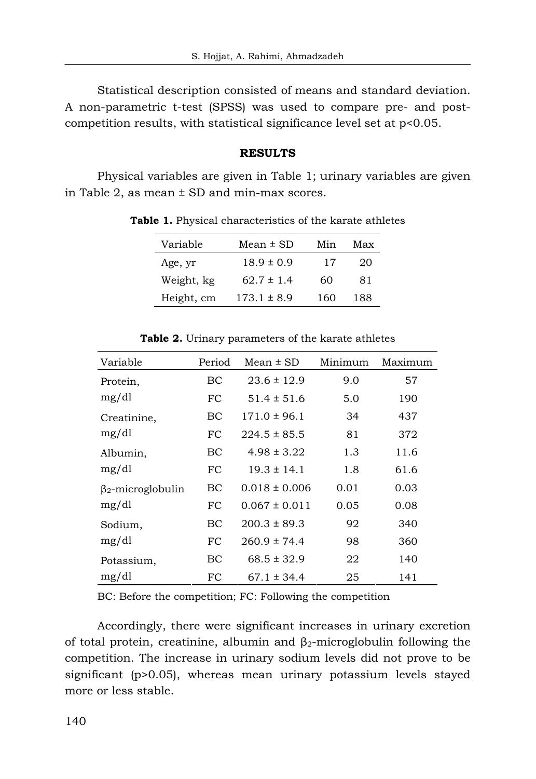Statistical description consisted of means and standard deviation. A non-parametric t-test (SPSS) was used to compare pre- and postcompetition results, with statistical significance level set at p<0.05.

#### **RESULTS**

Physical variables are given in Table 1; urinary variables are given in Table 2, as mean ± SD and min-max scores.

| Variable   | Mean ± SD       | Min | Max |
|------------|-----------------|-----|-----|
| Age, yr    | $18.9 \pm 0.9$  | 17  | 20  |
| Weight, kg | $62.7 \pm 1.4$  | 60  | 81  |
| Height, cm | $173.1 \pm 8.9$ | 160 | 188 |

**Table 1.** Physical characteristics of the karate athletes

| Variable                 | Period | $Mean \pm SD$     | Minimum | Maximum |
|--------------------------|--------|-------------------|---------|---------|
| Protein,                 | BC     | $23.6 \pm 12.9$   | 9.0     | 57      |
| mg/dl                    | FC     | $51.4 \pm 51.6$   | 5.0     | 190     |
| Creatinine,<br>mg/dl     | ВC     | $171.0 \pm 96.1$  | 34      | 437     |
|                          | FC     | $224.5 \pm 85.5$  | 81      | 372     |
| Albumin,<br>mg/dl        | ВC     | $4.98 \pm 3.22$   | 1.3     | 11.6    |
|                          | FC.    | $19.3 \pm 14.1$   | 1.8     | 61.6    |
| $\beta_2$ -microglobulin | ВC     | $0.018 \pm 0.006$ | 0.01    | 0.03    |
| mg/dl                    | FC     | $0.067 \pm 0.011$ | 0.05    | 0.08    |
| Sodium,<br>mg/dl         | ВC     | $200.3 \pm 89.3$  | 92      | 340     |
|                          | FC     | $260.9 \pm 74.4$  | 98      | 360     |
| Potassium,               | ВC     | $68.5 \pm 32.9$   | 22      | 140     |
| mg/dl                    | FC     | $67.1 \pm 34.4$   | 25      | 141     |

**Table 2.** Urinary parameters of the karate athletes

BC: Before the competition; FC: Following the competition

Accordingly, there were significant increases in urinary excretion of total protein, creatinine, albumin and  $\beta_2$ -microglobulin following the competition. The increase in urinary sodium levels did not prove to be significant (p>0.05), whereas mean urinary potassium levels stayed more or less stable.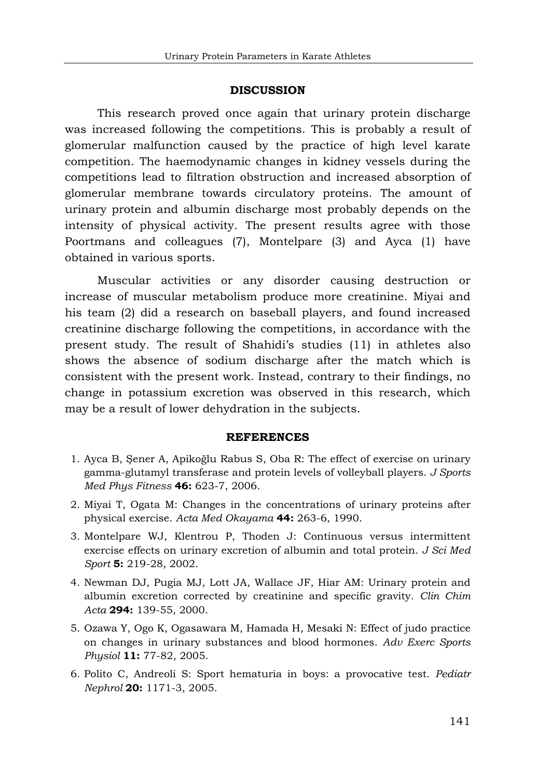#### **DISCUSSION**

This research proved once again that urinary protein discharge was increased following the competitions. This is probably a result of glomerular malfunction caused by the practice of high level karate competition. The haemodynamic changes in kidney vessels during the competitions lead to filtration obstruction and increased absorption of glomerular membrane towards circulatory proteins. The amount of urinary protein and albumin discharge most probably depends on the intensity of physical activity. The present results agree with those Poortmans and colleagues (7), Montelpare (3) and Ayca (1) have obtained in various sports.

Muscular activities or any disorder causing destruction or increase of muscular metabolism produce more creatinine. Miyai and his team (2) did a research on baseball players, and found increased creatinine discharge following the competitions, in accordance with the present study. The result of Shahidi's studies (11) in athletes also shows the absence of sodium discharge after the match which is consistent with the present work. Instead, contrary to their findings, no change in potassium excretion was observed in this research, which may be a result of lower dehydration in the subjects.

#### **REFERENCES**

- 1. Ayca B, Şener A, Apikoğlu Rabus S, Oba R: The effect of exercise on urinary gamma-glutamyl transferase and protein levels of volleyball players. *J Sports Med Phys Fitness* **46:** 623-7, 2006.
- 2. Miyai T, Ogata M: Changes in the concentrations of urinary proteins after physical exercise. *Acta Med Okayama* **44:** 263-6, 1990.
- 3. Montelpare WJ, Klentrou P, Thoden J: Continuous versus intermittent exercise effects on urinary excretion of albumin and total protein. *J Sci Med Sport* **5:** 219-28, 2002.
- 4. Newman DJ, Pugia MJ, Lott JA, Wallace JF, Hiar AM: Urinary protein and albumin excretion corrected by creatinine and specific gravity. *Clin Chim Acta* **294:** 139-55, 2000.
- 5. Ozawa Y, Ogo K, Ogasawara M, Hamada H, Mesaki N: Effect of judo practice on changes in urinary substances and blood hormones. *Adv Exerc Sports Physiol* **11:** 77-82, 2005.
- 6. Polito C, Andreoli S: Sport hematuria in boys: a provocative test. *Pediatr Nephrol* **20:** 1171-3, 2005.